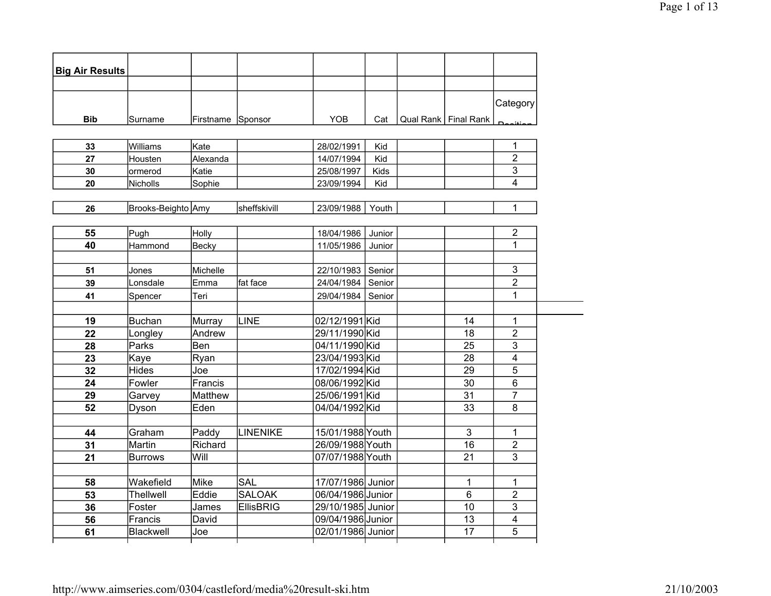| <b>Big Air Results</b> |                    |                   |                  |                   |        |                        |                |
|------------------------|--------------------|-------------------|------------------|-------------------|--------|------------------------|----------------|
|                        |                    |                   |                  |                   |        |                        |                |
|                        |                    |                   |                  |                   |        |                        | Category       |
| <b>Bib</b>             | Surname            | Firstname Sponsor |                  | YOB               | Cat    | Qual Rank   Final Rank |                |
|                        |                    |                   |                  |                   |        |                        |                |
| 33                     | Williams           | Kate              |                  | 28/02/1991        | Kid    |                        | 1              |
| 27                     | Housten            | Alexanda          |                  | 14/07/1994        | Kid    |                        | $\overline{2}$ |
| 30                     | ormerod            | Katie             |                  | 25/08/1997        | Kids   |                        | $\mathfrak{S}$ |
| 20                     | Nicholls           | Sophie            |                  | 23/09/1994        | Kid    |                        | 4              |
|                        |                    |                   |                  |                   |        |                        |                |
| 26                     | Brooks-Beighto Amy |                   | sheffskivill     | 23/09/1988        | Youth  |                        | 1              |
|                        |                    |                   |                  |                   |        |                        |                |
| 55                     | Pugh               | Holly             |                  | 18/04/1986        | Junior |                        | $\overline{2}$ |
| 40                     | Hammond            | <b>Becky</b>      |                  | 11/05/1986        | Junior |                        | 1              |
|                        |                    |                   |                  |                   |        |                        |                |
| 51                     | Jones              | Michelle          |                  | 22/10/1983        | Senior |                        | 3              |
| 39                     | Lonsdale           | Emma              | fat face         | 24/04/1984        | Senior |                        | $\overline{2}$ |
| 41                     | Spencer            | Teri              |                  | 29/04/1984        | Senior |                        | $\mathbf{1}$   |
|                        |                    |                   |                  |                   |        |                        |                |
| 19                     | <b>Buchan</b>      | Murray            | LINE             | 02/12/1991 Kid    |        | 14                     | 1              |
| 22                     | Longley            | Andrew            |                  | 29/11/1990 Kid    |        | 18                     | $\overline{2}$ |
| 28                     | Parks              | Ben               |                  | 04/11/1990 Kid    |        | 25                     | 3              |
| 23                     | Kaye               | Ryan              |                  | 23/04/1993 Kid    |        | 28                     | $\overline{4}$ |
| 32                     | <b>Hides</b>       | Joe               |                  | 17/02/1994 Kid    |        | 29                     | 5              |
| 24                     | Fowler             | Francis           |                  | 08/06/1992 Kid    |        | 30                     | 6              |
| 29                     | Garvey             | <b>Matthew</b>    |                  | 25/06/1991 Kid    |        | 31                     | 7              |
| 52                     | Dyson              | Eden              |                  | 04/04/1992 Kid    |        | 33                     | 8              |
|                        |                    |                   |                  |                   |        |                        |                |
| 44                     | Graham             | Paddy             | LINENIKE         | 15/01/1988 Youth  |        | 3                      | 1              |
| 31                     | Martin             | Richard           |                  | 26/09/1988 Youth  |        | 16                     | $\overline{2}$ |
| 21                     | <b>Burrows</b>     | Will              |                  | 07/07/1988 Youth  |        | 21                     | 3              |
|                        |                    |                   |                  |                   |        |                        |                |
| 58                     | Wakefield          | <b>Mike</b>       | <b>SAL</b>       | 17/07/1986 Junior |        | 1                      | 1              |
| 53                     | Thellwell          | Eddie             | <b>SALOAK</b>    | 06/04/1986 Junior |        | 6                      | $\overline{2}$ |
| 36                     | Foster             | James             | <b>EllisBRIG</b> | 29/10/1985 Junior |        | 10                     | 3              |
| 56                     | Francis            | David             |                  | 09/04/1986 Junior |        | 13                     | $\overline{4}$ |
| 61                     | Blackwell          | Joe               |                  | 02/01/1986 Junior |        | 17                     | 5              |
|                        |                    |                   |                  |                   |        |                        |                |